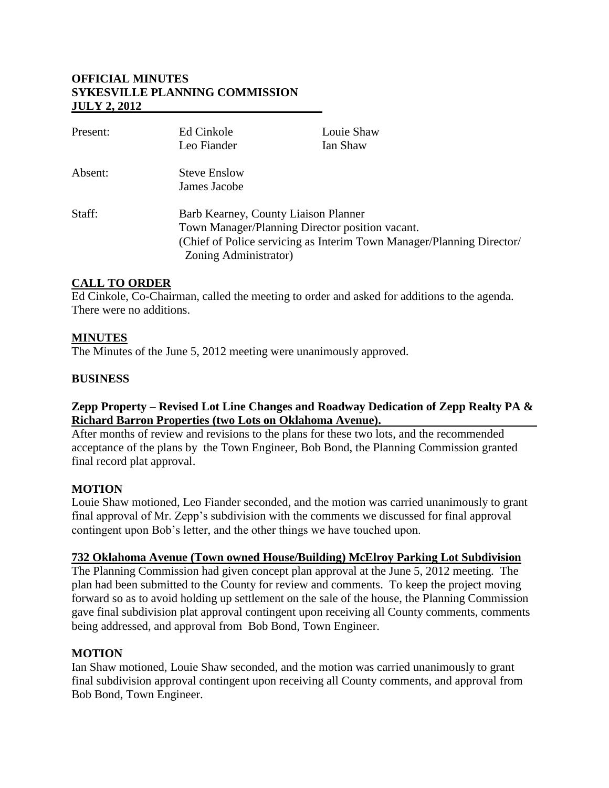## **OFFICIAL MINUTES SYKESVILLE PLANNING COMMISSION JULY 2, 2012**

| Present: | Ed Cinkole                                                            | Louie Shaw |
|----------|-----------------------------------------------------------------------|------------|
|          | Leo Fiander                                                           | Ian Shaw   |
| Absent:  | <b>Steve Enslow</b>                                                   |            |
|          | James Jacobe                                                          |            |
| Staff:   | Barb Kearney, County Liaison Planner                                  |            |
|          | Town Manager/Planning Director position vacant.                       |            |
|          | (Chief of Police servicing as Interim Town Manager/Planning Director/ |            |
|          | Zoning Administrator)                                                 |            |

## **CALL TO ORDER**

Ed Cinkole, Co-Chairman, called the meeting to order and asked for additions to the agenda. There were no additions.

## **MINUTES**

The Minutes of the June 5, 2012 meeting were unanimously approved.

#### **BUSINESS**

#### **Zepp Property – Revised Lot Line Changes and Roadway Dedication of Zepp Realty PA & Richard Barron Properties (two Lots on Oklahoma Avenue).**

After months of review and revisions to the plans for these two lots, and the recommended acceptance of the plans by the Town Engineer, Bob Bond, the Planning Commission granted final record plat approval.

#### **MOTION**

Louie Shaw motioned, Leo Fiander seconded, and the motion was carried unanimously to grant final approval of Mr. Zepp's subdivision with the comments we discussed for final approval contingent upon Bob's letter, and the other things we have touched upon.

#### **732 Oklahoma Avenue (Town owned House/Building) McElroy Parking Lot Subdivision**

The Planning Commission had given concept plan approval at the June 5, 2012 meeting. The plan had been submitted to the County for review and comments. To keep the project moving forward so as to avoid holding up settlement on the sale of the house, the Planning Commission gave final subdivision plat approval contingent upon receiving all County comments, comments being addressed, and approval from Bob Bond, Town Engineer.

## **MOTION**

Ian Shaw motioned, Louie Shaw seconded, and the motion was carried unanimously to grant final subdivision approval contingent upon receiving all County comments, and approval from Bob Bond, Town Engineer.